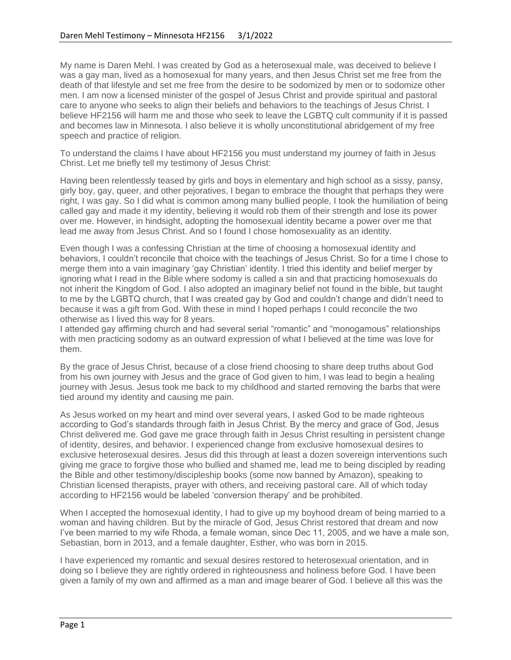My name is Daren Mehl. I was created by God as a heterosexual male, was deceived to believe I was a gay man, lived as a homosexual for many years, and then Jesus Christ set me free from the death of that lifestyle and set me free from the desire to be sodomized by men or to sodomize other men. I am now a licensed minister of the gospel of Jesus Christ and provide spiritual and pastoral care to anyone who seeks to align their beliefs and behaviors to the teachings of Jesus Christ. I believe HF2156 will harm me and those who seek to leave the LGBTQ cult community if it is passed and becomes law in Minnesota. I also believe it is wholly unconstitutional abridgement of my free speech and practice of religion.

To understand the claims I have about HF2156 you must understand my journey of faith in Jesus Christ. Let me briefly tell my testimony of Jesus Christ:

Having been relentlessly teased by girls and boys in elementary and high school as a sissy, pansy, girly boy, gay, queer, and other pejoratives, I began to embrace the thought that perhaps they were right, I was gay. So I did what is common among many bullied people, I took the humiliation of being called gay and made it my identity, believing it would rob them of their strength and lose its power over me. However, in hindsight, adopting the homosexual identity became a power over me that lead me away from Jesus Christ. And so I found I chose homosexuality as an identity.

Even though I was a confessing Christian at the time of choosing a homosexual identity and behaviors, I couldn't reconcile that choice with the teachings of Jesus Christ. So for a time I chose to merge them into a vain imaginary 'gay Christian' identity. I tried this identity and belief merger by ignoring what I read in the Bible where sodomy is called a sin and that practicing homosexuals do not inherit the Kingdom of God. I also adopted an imaginary belief not found in the bible, but taught to me by the LGBTQ church, that I was created gay by God and couldn't change and didn't need to because it was a gift from God. With these in mind I hoped perhaps I could reconcile the two otherwise as I lived this way for 8 years.

I attended gay affirming church and had several serial "romantic" and "monogamous" relationships with men practicing sodomy as an outward expression of what I believed at the time was love for them.

By the grace of Jesus Christ, because of a close friend choosing to share deep truths about God from his own journey with Jesus and the grace of God given to him, I was lead to begin a healing journey with Jesus. Jesus took me back to my childhood and started removing the barbs that were tied around my identity and causing me pain.

As Jesus worked on my heart and mind over several years, I asked God to be made righteous according to God's standards through faith in Jesus Christ. By the mercy and grace of God, Jesus Christ delivered me. God gave me grace through faith in Jesus Christ resulting in persistent change of identity, desires, and behavior. I experienced change from exclusive homosexual desires to exclusive heterosexual desires. Jesus did this through at least a dozen sovereign interventions such giving me grace to forgive those who bullied and shamed me, lead me to being discipled by reading the Bible and other testimony/discipleship books (some now banned by Amazon), speaking to Christian licensed therapists, prayer with others, and receiving pastoral care. All of which today according to HF2156 would be labeled 'conversion therapy' and be prohibited.

When I accepted the homosexual identity, I had to give up my boyhood dream of being married to a woman and having children. But by the miracle of God, Jesus Christ restored that dream and now I've been married to my wife Rhoda, a female woman, since Dec 11, 2005, and we have a male son, Sebastian, born in 2013, and a female daughter, Esther, who was born in 2015.

I have experienced my romantic and sexual desires restored to heterosexual orientation, and in doing so I believe they are rightly ordered in righteousness and holiness before God. I have been given a family of my own and affirmed as a man and image bearer of God. I believe all this was the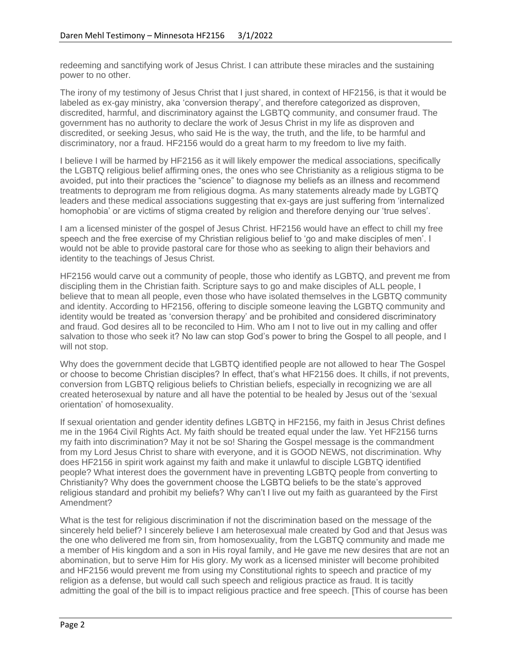redeeming and sanctifying work of Jesus Christ. I can attribute these miracles and the sustaining power to no other.

The irony of my testimony of Jesus Christ that I just shared, in context of HF2156, is that it would be labeled as ex-gay ministry, aka 'conversion therapy', and therefore categorized as disproven, discredited, harmful, and discriminatory against the LGBTQ community, and consumer fraud. The government has no authority to declare the work of Jesus Christ in my life as disproven and discredited, or seeking Jesus, who said He is the way, the truth, and the life, to be harmful and discriminatory, nor a fraud. HF2156 would do a great harm to my freedom to live my faith.

I believe I will be harmed by HF2156 as it will likely empower the medical associations, specifically the LGBTQ religious belief affirming ones, the ones who see Christianity as a religious stigma to be avoided, put into their practices the "science" to diagnose my beliefs as an illness and recommend treatments to deprogram me from religious dogma. As many statements already made by LGBTQ leaders and these medical associations suggesting that ex-gays are just suffering from 'internalized homophobia' or are victims of stigma created by religion and therefore denying our 'true selves'.

I am a licensed minister of the gospel of Jesus Christ. HF2156 would have an effect to chill my free speech and the free exercise of my Christian religious belief to 'go and make disciples of men'. I would not be able to provide pastoral care for those who as seeking to align their behaviors and identity to the teachings of Jesus Christ.

HF2156 would carve out a community of people, those who identify as LGBTQ, and prevent me from discipling them in the Christian faith. Scripture says to go and make disciples of ALL people, I believe that to mean all people, even those who have isolated themselves in the LGBTQ community and identity. According to HF2156, offering to disciple someone leaving the LGBTQ community and identity would be treated as 'conversion therapy' and be prohibited and considered discriminatory and fraud. God desires all to be reconciled to Him. Who am I not to live out in my calling and offer salvation to those who seek it? No law can stop God's power to bring the Gospel to all people, and I will not stop.

Why does the government decide that LGBTQ identified people are not allowed to hear The Gospel or choose to become Christian disciples? In effect, that's what HF2156 does. It chills, if not prevents, conversion from LGBTQ religious beliefs to Christian beliefs, especially in recognizing we are all created heterosexual by nature and all have the potential to be healed by Jesus out of the 'sexual orientation' of homosexuality.

If sexual orientation and gender identity defines LGBTQ in HF2156, my faith in Jesus Christ defines me in the 1964 Civil Rights Act. My faith should be treated equal under the law. Yet HF2156 turns my faith into discrimination? May it not be so! Sharing the Gospel message is the commandment from my Lord Jesus Christ to share with everyone, and it is GOOD NEWS, not discrimination. Why does HF2156 in spirit work against my faith and make it unlawful to disciple LGBTQ identified people? What interest does the government have in preventing LGBTQ people from converting to Christianity? Why does the government choose the LGBTQ beliefs to be the state's approved religious standard and prohibit my beliefs? Why can't I live out my faith as guaranteed by the First Amendment?

What is the test for religious discrimination if not the discrimination based on the message of the sincerely held belief? I sincerely believe I am heterosexual male created by God and that Jesus was the one who delivered me from sin, from homosexuality, from the LGBTQ community and made me a member of His kingdom and a son in His royal family, and He gave me new desires that are not an abomination, but to serve Him for His glory. My work as a licensed minister will become prohibited and HF2156 would prevent me from using my Constitutional rights to speech and practice of my religion as a defense, but would call such speech and religious practice as fraud. It is tacitly admitting the goal of the bill is to impact religious practice and free speech. [This of course has been